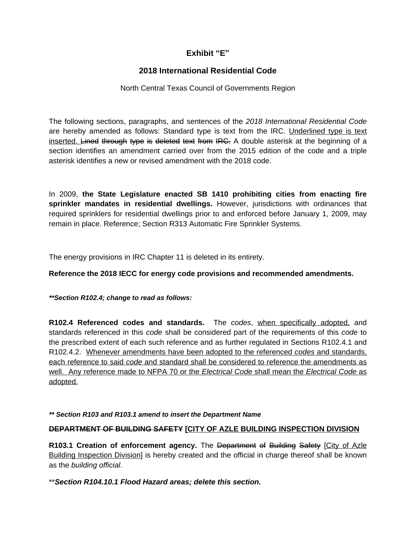# **Exhibit "E"**

# **2018 International Residential Code**

# North Central Texas Council of Governments Region

The following sections, paragraphs, and sentences of the *2018 International Residential Code* are hereby amended as follows: Standard type is text from the IRC. Underlined type is text inserted. Lined through type is deleted text from IRC. A double asterisk at the beginning of a section identifies an amendment carried over from the 2015 edition of the code and a triple asterisk identifies a new or revised amendment with the 2018 code.

In 2009, **the State Legislature enacted SB 1410 prohibiting cities from enacting fire sprinkler mandates in residential dwellings.** However, jurisdictions with ordinances that required sprinklers for residential dwellings prior to and enforced before January 1, 2009, may remain in place. Reference; Section R313 Automatic Fire Sprinkler Systems.

The energy provisions in IRC Chapter 11 is deleted in its entirety.

# **Reference the 2018 IECC for energy code provisions and recommended amendments.**

# *\*\*Section R102.4; change to read as follows:*

**R102.4 Referenced codes and standards.** The *codes*, when specifically adopted, and standards referenced in this *code* shall be considered part of the requirements of this *code* to the prescribed extent of each such reference and as further regulated in Sections R102.4.1 and R102.4.2. Whenever amendments have been adopted to the referenced *codes* and standards, each reference to said *code* and standard shall be considered to reference the amendments as well. Any reference made to NFPA 70 or the *Electrical Code* shall mean the *Electrical Code* as adopted.

*\*\* Section R103 and R103.1 amend to insert the Department Name*

# **DEPARTMENT OF BUILDING SAFETY [CITY OF AZLE BUILDING INSPECTION DIVISION**

**R103.1 Creation of enforcement agency.** The Department of Building Safety [City of Azle Building Inspection Division] is hereby created and the official in charge thereof shall be known as the *building official*.

\*\**Section R104.10.1 Flood Hazard areas; delete this section.*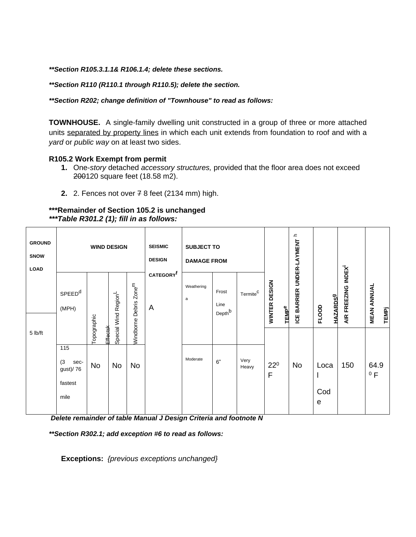*\*\*Section R105.3.1.1& R106.1.4; delete these sections.*

*\*\*Section R110 (R110.1 through R110.5); delete the section.*

*\*\*Section R202; change definition of "Townhouse" to read as follows:*

**TOWNHOUSE.** A single-family dwelling unit constructed in a group of three or more attached units separated by property lines in which each unit extends from foundation to roof and with a *yard* or *public way* on at least two sides.

### **R105.2 Work Exempt from permit**

- **1.** One-*story* detached *accessory structures,* provided that the floor area does not exceed 200120 square feet (18.58 m2).
- **2.** 2. Fences not over 7 8 feet (2134 mm) high.

### **\*\*\*Remainder of Section 105.2 is unchanged** *\*\*\*Table R301.2 (1); fill in as follows:*

| <b>GROUND</b><br>SNOW<br><b>LOAD</b> | <b>WIND DESIGN</b>                        |             |                                  |                        | <b>SEISMIC</b><br><b>DESIGN</b> | <b>SUBJECT TO</b><br><b>DAMAGE FROM</b> |                                     |                      |                                          | ᇰ<br>UNDER-LAYMENT |                                 |                    |                                    |
|--------------------------------------|-------------------------------------------|-------------|----------------------------------|------------------------|---------------------------------|-----------------------------------------|-------------------------------------|----------------------|------------------------------------------|--------------------|---------------------------------|--------------------|------------------------------------|
|                                      | SPEED <sup>d</sup><br>(MPH)               | Topographic | Special Wind Region <sup>L</sup> | $Z$ onem<br>Debris     | CATEGORY <sup>f</sup><br>A      | Weathering<br>a                         | Frost<br>Line<br>Depth <sup>b</sup> | Termite <sup>C</sup> | WINTER DESIGN<br><b>TEMP<sup>e</sup></b> | ICE BARRIER        | <b>HAZARDS9</b><br><b>FLOOD</b> | AIR FREEZING INDEX | <b>MEAN ANNUAL</b><br><b>TEMPj</b> |
| 5 lb/ft                              | 115<br>(3)<br>sec-<br>gust)/76<br>fastest | No          | Effectsk<br>No                   | Windborne<br><b>No</b> |                                 | Moderate                                | 6"                                  | Very<br>Heavy        | $22^0$<br>F                              | No                 | Loca                            | 150                | 64.9<br>0 F                        |
|                                      | mile                                      |             |                                  |                        |                                 |                                         |                                     |                      |                                          |                    | Cod<br>$\mathbf e$              |                    |                                    |

*Delete remainder of table Manual J Design Criteria and footnote N*

*\*\*Section R302.1; add exception #6 to read as follows:*

**Exceptions:** *{previous exceptions unchanged}*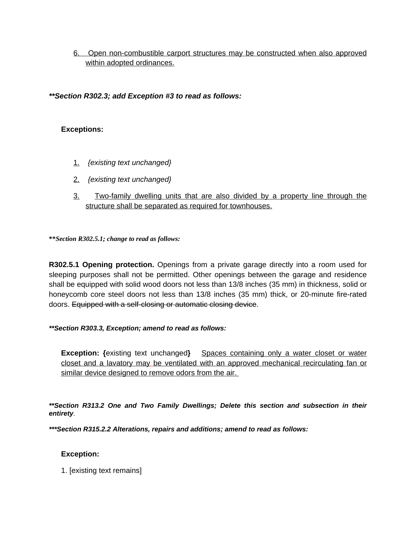6. Open non-combustible carport structures may be constructed when also approved within adopted ordinances.

*\*\*Section R302.3; add Exception #3 to read as follows:*

# **Exceptions:**

- 1. *{existing text unchanged}*
- 2. *{existing text unchanged}*
- 3. Two-family dwelling units that are also divided by a property line through the structure shall be separated as required for townhouses.

**\*\****Section R302.5.1; change to read as follows:*

**R302.5.1 Opening protection.** Openings from a private garage directly into a room used for sleeping purposes shall not be permitted. Other openings between the garage and residence shall be equipped with solid wood doors not less than 13/8 inches (35 mm) in thickness, solid or honeycomb core steel doors not less than 13/8 inches (35 mm) thick, or 20-minute fire-rated doors. Equipped with a self-closing or automatic closing device.

# *\*\*Section R303.3, Exception; amend to read as follows:*

**Exception: {**existing text unchanged**}** Spaces containing only a water closet or water closet and a lavatory may be ventilated with an approved mechanical recirculating fan or similar device designed to remove odors from the air.

*\*\*Section R313.2 One and Two Family Dwellings; Delete this section and subsection in their entirety.*

*\*\*\*Section R315.2.2 Alterations, repairs and additions; amend to read as follows:*

# **Exception:**

1. [existing text remains]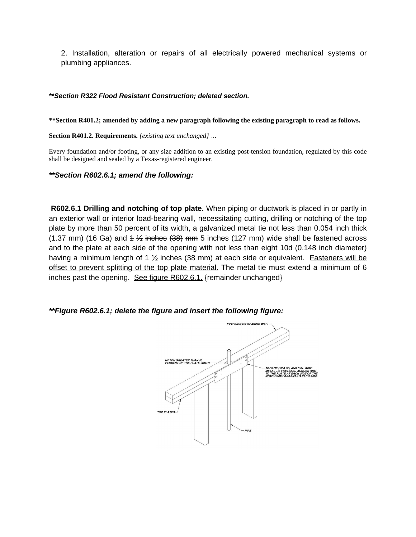2. Installation, alteration or repairs of all electrically powered mechanical systems or plumbing appliances.

### *\*\*Section R322 Flood Resistant Construction; deleted section.*

**\*\*Section R401.2; amended by adding a new paragraph following the existing paragraph to read as follows.**

**Section R401.2. Requirements.** *{existing text unchanged} …*

Every foundation and/or footing, or any size addition to an existing post-tension foundation, regulated by this code shall be designed and sealed by a Texas-registered engineer.

*\*\*Section R602.6.1; amend the following:*

**R602.6.1 Drilling and notching of top plate.** When piping or ductwork is placed in or partly in an exterior wall or interior load-bearing wall, necessitating cutting, drilling or notching of the top plate by more than 50 percent of its width, a galvanized metal tie not less than 0.054 inch thick (1.37 mm) (16 Ga) and  $4\frac{1}{2}$  inches (38) mm 5 inches (127 mm) wide shall be fastened across and to the plate at each side of the opening with not less than eight 10d (0.148 inch diameter) having a minimum length of 1  $\frac{1}{2}$  inches (38 mm) at each side or equivalent. Fasteners will be offset to prevent splitting of the top plate material. The metal tie must extend a minimum of 6 inches past the opening. See figure R602.6.1. {remainder unchanged}

*\*\*Figure R602.6.1; delete the figure and insert the following figure:*

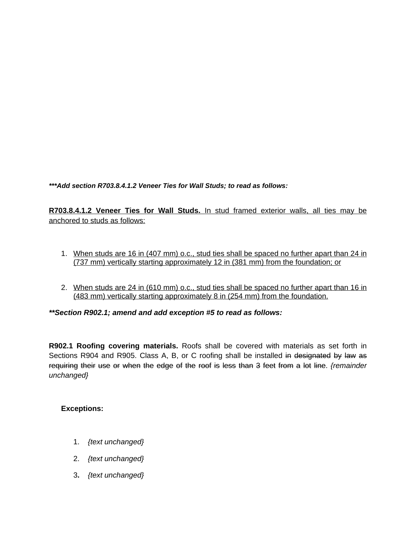*\*\*\*Add section R703.8.4.1.2 Veneer Ties for Wall Studs; to read as follows:*

**R703.8.4.1.2 Veneer Ties for Wall Studs.** In stud framed exterior walls, all ties may be anchored to studs as follows:

- 1. When studs are 16 in (407 mm) o.c., stud ties shall be spaced no further apart than 24 in (737 mm) vertically starting approximately 12 in (381 mm) from the foundation; or
- 2. When studs are 24 in (610 mm) o.c., stud ties shall be spaced no further apart than 16 in (483 mm) vertically starting approximately 8 in (254 mm) from the foundation.

*\*\*Section R902.1; amend and add exception #5 to read as follows:*

**R902.1 Roofing covering materials.** Roofs shall be covered with materials as set forth in Sections R904 and R905. Class A, B, or C roofing shall be installed in designated by law as requiring their use or when the edge of the roof is less than 3 feet from a lot line. *{remainder unchanged}*

# **Exceptions:**

- 1. *{text unchanged}*
- 2. *{text unchanged}*
- 3**.** *{text unchanged}*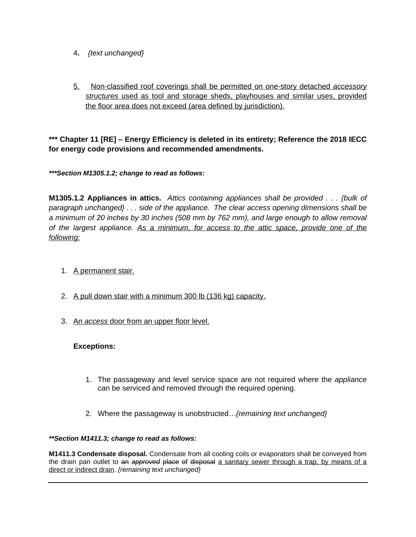- 4**.** *{text unchanged}*
- 5. Non-classified roof coverings shall be permitted on one-story detached *accessory structures* used as tool and storage sheds, playhouses and similar uses, provided the floor area does not exceed (area defined by jurisdiction).

**\*\*\* Chapter 11 [RE] – Energy Efficiency is deleted in its entirety; Reference the 2018 IECC for energy code provisions and recommended amendments.**

*\*\*\*Section M1305.1.2; change to read as follows:*

**M1305.1.2 Appliances in attics.** *Attics containing appliances shall be provided . . . {bulk of paragraph unchanged} . . . side of the appliance. The clear access opening dimensions shall be a minimum of 20 inches by 30 inches (508 mm by 762 mm), and large enough to allow removal of the largest appliance. As a minimum, for access to the attic space, provide one of the following:*

- 1. A permanent stair.
- 2. A pull down stair with a minimum 300 lb (136 kg) capacity.
- 3. An *access* door from an upper floor level.

# **Exceptions:**

- 1. The passageway and level service space are not required where the *appliance* can be serviced and removed through the required opening.
- 2. Where the passageway is unobstructed*…{remaining text unchanged}*

### *\*\*Section M1411.3; change to read as follows:*

**M1411.3 Condensate disposal.** Condensate from all cooling coils or evaporators shall be conveyed from the drain pan outlet to an *approved* place of disposal a sanitary sewer through a trap, by means of a direct or indirect drain. *{remaining text unchanged}*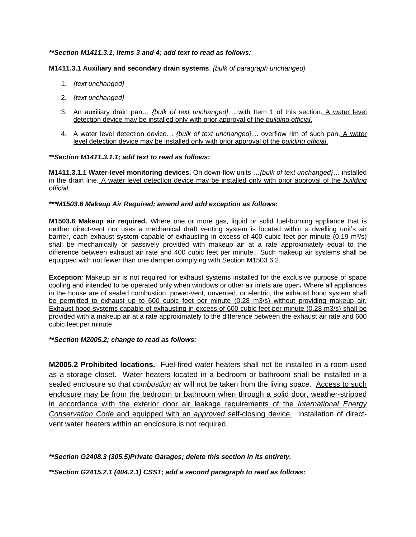#### *\*\*Section M1411.3.1, Items 3 and 4; add text to read as follows:*

#### **M1411.3.1 Auxiliary and secondary drain systems**. *{bulk of paragraph unchanged}*

- 1. *{text unchanged}*
- 2. *{text unchanged}*
- 3. An auxiliary drain pan… *{bulk of text unchanged}…* with Item 1 of this section. A water level detection device may be installed only with prior approval of the *building official*.
- 4. A water level detection device… *{bulk of text unchanged}…* overflow rim of such pan. A water level detection device may be installed only with prior approval of the *building official*.

#### *\*\*Section M1411.3.1.1; add text to read as follows:*

**M1411.3.1.1 Water-level monitoring devices.** On down-flow units …*{bulk of text unchanged}*… installed in the drain line. A water level detection device may be installed only with prior approval of the *building official.*

#### *\*\*\*M1503.6 Makeup Air Required; amend and add exception as follows:*

**M1503.6 Makeup air required.** Where one or more gas, liquid or solid fuel-burning appliance that is neither direct-vent nor uses a mechanical draft venting system is located within a dwelling unit's air barrier, each exhaust system capable of exhausting in excess of 400 cubic feet per minute (0.19 m<sup>3</sup>/s) shall be mechanically or passively provided with makeup air at a rate approximately equal to the difference between exhaust air rate and 400 cubic feet per minute. Such makeup air systems shall be equipped with not fewer than one damper complying with Section M1503.6.2.

**Exception***:* Makeup air is not required for exhaust systems installed for the exclusive purpose of space cooling and intended to be operated only when windows or other air inlets are open*.* Where all appliances in the house are of sealed combustion, power-vent, unvented, or electric, the exhaust hood system shall be permitted to exhaust up to 600 cubic feet per minute (0.28 m3/s) without providing makeup air. Exhaust hood systems capable of exhausting in excess of 600 cubic feet per minute (0.28 m3/s) shall be provided with a makeup air at a rate approximately to the difference between the exhaust air rate and 600 cubic feet per minute.

#### *\*\*Section M2005.2; change to read as follows:*

**M2005.2 Prohibited locations.** Fuel-fired water heaters shall not be installed in a room used as a storage closet. Water heaters located in a bedroom or bathroom shall be installed in a sealed enclosure so that *combustion air* will not be taken from the living space. Access to such enclosure may be from the bedroom or bathroom when through a solid door, weather-stripped in accordance with the exterior door air leakage requirements of the *International Energy Conservation Code* and equipped with an *approved* self-closing device. Installation of directvent water heaters within an enclosure is not required.

*\*\*Section G2408.3 (305.5)Private Garages; delete this section in its entirety.*

*\*\*Section G2415.2.1 (404.2.1) CSST; add a second paragraph to read as follows:*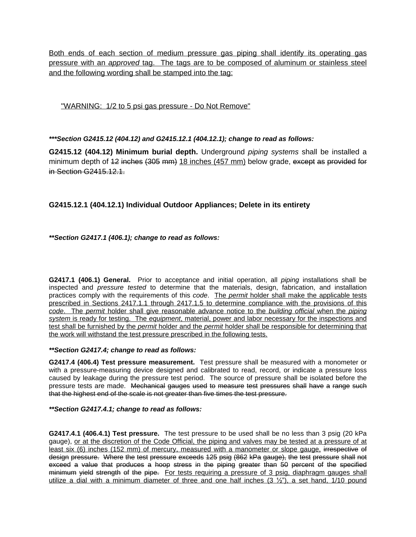Both ends of each section of medium pressure gas piping shall identify its operating gas pressure with an *approved* tag. The tags are to be composed of aluminum or stainless steel and the following wording shall be stamped into the tag:

"WARNING: 1/2 to 5 psi gas pressure - Do Not Remove"

*\*\*\*Section G2415.12 (404.12) and G2415.12.1 (404.12.1); change to read as follows:*

**G2415.12 (404.12) Minimum burial depth.** Underground *piping systems* shall be installed a minimum depth of 12 inches (305 mm) 18 inches (457 mm) below grade, except as provided for in Section G2415.12.1.

# **G2415.12.1 (404.12.1) Individual Outdoor Appliances; Delete in its entirety**

*\*\*Section G2417.1 (406.1); change to read as follows:*

**G2417.1 (406.1) General.** Prior to acceptance and initial operation, all *piping* installations shall be inspected and *pressure tested* to determine that the materials, design, fabrication, and installation practices comply with the requirements of this *code*. The *permit* holder shall make the applicable tests prescribed in Sections 2417.1.1 through 2417.1.5 to determine compliance with the provisions of this *code*. The *permit* holder shall give reasonable advance notice to the *building official* when the *piping system* is ready for testing. The *equipment*, material, power and labor necessary for the inspections and test shall be furnished by the *permit* holder and the *permit* holder shall be responsible for determining that the work will withstand the test pressure prescribed in the following tests.

*\*\*Section G2417.4; change to read as follows:*

**G2417.4 (406.4) Test pressure measurement.** Test pressure shall be measured with a monometer or with a pressure-measuring device designed and calibrated to read, record, or indicate a pressure loss caused by leakage during the pressure test period. The source of pressure shall be isolated before the pressure tests are made. Mechanical gauges used to measure test pressures shall have a range such that the highest end of the scale is not greater than five times the test pressure.

# *\*\*Section G2417.4.1; change to read as follows:*

**G2417.4.1 (406.4.1) Test pressure.** The test pressure to be used shall be no less than 3 psig (20 kPa gauge), or at the discretion of the Code Official, the piping and valves may be tested at a pressure of at least six (6) inches (152 mm) of mercury, measured with a manometer or slope gauge, irrespective of design pressure. Where the test pressure exceeds 125 psig (862 kPa gauge), the test pressure shall not exceed a value that produces a hoop stress in the piping greater than 50 percent of the specified minimum vield strength of the pipe. For tests requiring a pressure of 3 psig, diaphragm gauges shall utilize a dial with a minimum diameter of three and one half inches  $(3 \frac{1}{2})$ , a set hand, 1/10 pound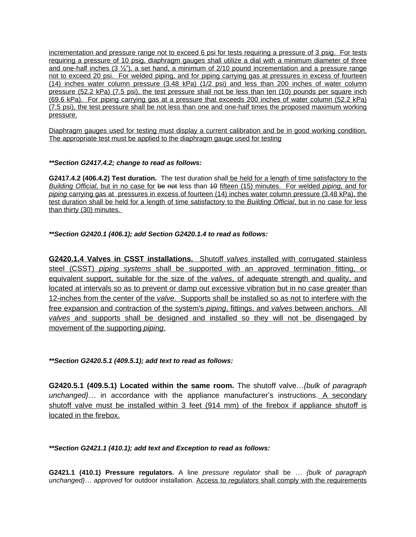incrementation and pressure range not to exceed 6 psi for tests requiring a pressure of 3 psig. For tests requiring a pressure of 10 psig, diaphragm gauges shall utilize a dial with a minimum diameter of three and one-half inches  $(3 \frac{1}{2})$ , a set hand, a minimum of 2/10 pound incrementation and a pressure range not to exceed 20 psi. For welded piping, and for piping carrying gas at pressures in excess of fourteen (14) inches water column pressure (3.48 kPa) (1/2 psi) and less than 200 inches of water column pressure (52.2 kPa) (7.5 psi), the test pressure shall not be less than ten (10) pounds per square inch (69.6 kPa). For piping carrying gas at a pressure that exceeds 200 inches of water column (52.2 kPa) (7.5 psi), the test pressure shall be not less than one and one-half times the proposed maximum working pressure.

Diaphragm gauges used for testing must display a current calibration and be in good working condition. The appropriate test must be applied to the diaphragm gauge used for testing

### *\*\*Section G2417.4.2; change to read as follows:*

**G2417.4.2 (406.4.2) Test duration.** The test duration shall be held for a length of time satisfactory to the *Building Official*, but in no case for be not less than 10 fifteen (15) minutes. For welded *piping*, and for *piping* carrying gas at pressures in excess of fourteen (14) inches water column pressure (3.48 kPa), the test duration shall be held for a length of time satisfactory to the *Building Official*, but in no case for less than thirty (30) minutes.

# *\*\*Section G2420.1 (406.1); add Section G2420.1.4 to read as follows:*

**G2420.1.4 Valves in CSST installations.** Shutoff *valves* installed with corrugated stainless steel (CSST) *piping systems* shall be supported with an approved termination fitting, or equivalent support, suitable for the size of the *valves*, of adequate strength and quality, and located at intervals so as to prevent or damp out excessive vibration but in no case greater than 12-inches from the center of the *valve*. Supports shall be installed so as not to interfere with the free expansion and contraction of the system's *piping*, fittings, and *valves* between anchors. All *valves* and supports shall be designed and installed so they will not be disengaged by movement of the supporting *piping*.

# *\*\*Section G2420.5.1 (409.5.1); add text to read as follows:*

**G2420.5.1 (409.5.1) Located within the same room.** The shutoff valve…*{bulk of paragraph unchanged}…* in accordance with the appliance manufacturer's instructions. A secondary shutoff valve must be installed within 3 feet (914 mm) of the firebox if appliance shutoff is located in the firebox.

# *\*\*Section G2421.1 (410.1); add text and Exception to read as follows:*

**G2421.1 (410.1) Pressure regulators.** A line *pressure regulator* shall be *… {bulk of paragraph unchanged}… approved* for outdoor installation. Access to *regulators* shall comply with the requirements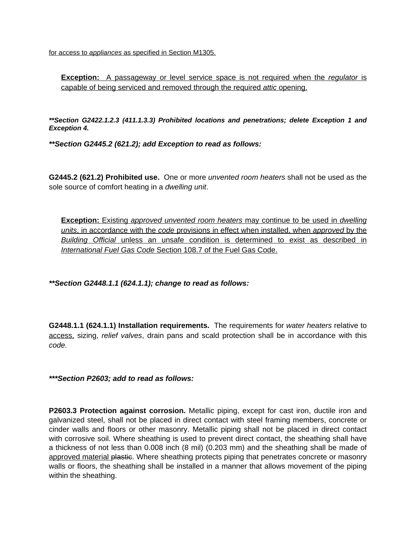for access to *appliances* as specified in Section M1305.

**Exception:** A passageway or level service space is not required when the *regulator* is capable of being serviced and removed through the required *attic* opening.

*\*\*Section G2422.1.2.3 (411.1.3.3) Prohibited locations and penetrations; delete Exception 1 and Exception 4.* 

*\*\*Section G2445.2 (621.2); add Exception to read as follows:*

**G2445.2 (621.2) Prohibited use.** One or more *unvented room heaters* shall not be used as the sole source of comfort heating in a *dwelling unit*.

**Exception:** Existing *approved unvented room heaters* may continue to be used in *dwelling units*, in accordance with the *code* provisions in effect when installed, when *approved* by the *Building Official* unless an unsafe condition is determined to exist as described in *International Fuel Gas Code* Section 108.7 of the Fuel Gas Code.

*\*\*Section G2448.1.1 (624.1.1); change to read as follows:*

**G2448.1.1 (624.1.1) Installation requirements.** The requirements for *water heaters* relative to access, sizing, *relief valves*, drain pans and scald protection shall be in accordance with this *code.*

*\*\*\*Section P2603; add to read as follows:*

**P2603.3 Protection against corrosion.** Metallic piping, except for cast iron, ductile iron and galvanized steel, shall not be placed in direct contact with steel framing members, concrete or cinder walls and floors or other masonry. Metallic piping shall not be placed in direct contact with corrosive soil. Where sheathing is used to prevent direct contact, the sheathing shall have a thickness of not less than 0.008 inch (8 mil) (0.203 mm) and the sheathing shall be made of approved material plastic. Where sheathing protects piping that penetrates concrete or masonry walls or floors, the sheathing shall be installed in a manner that allows movement of the piping within the sheathing.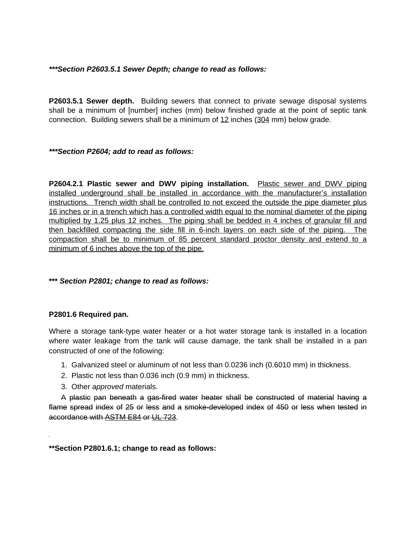# *\*\*\*Section P2603.5.1 Sewer Depth; change to read as follows:*

**P2603.5.1 Sewer depth.** Building sewers that connect to private sewage disposal systems shall be a minimum of [number] inches (mm) below finished grade at the point of septic tank connection. Building sewers shall be a minimum of 12 inches (304 mm) below grade.

*\*\*\*Section P2604; add to read as follows:*

**P2604.2.1 Plastic sewer and DWV piping installation.** Plastic sewer and DWV piping installed underground shall be installed in accordance with the manufacturer's installation instructions. Trench width shall be controlled to not exceed the outside the pipe diameter plus 16 inches or in a trench which has a controlled width equal to the nominal diameter of the piping multiplied by 1.25 plus 12 inches. The piping shall be bedded in 4 inches of granular fill and then backfilled compacting the side fill in 6-inch layers on each side of the piping. The compaction shall be to minimum of 85 percent standard proctor density and extend to a minimum of 6 inches above the top of the pipe.

# **\*\*\*** *Section P2801; change to read as follows:*

# **P2801.6 Required pan.**

Where a storage tank-type water heater or a hot water storage tank is installed in a location where water leakage from the tank will cause damage, the tank shall be installed in a pan constructed of one of the following:

- 1. Galvanized steel or aluminum of not less than 0.0236 inch (0.6010 mm) in thickness.
- 2. Plastic not less than 0.036 inch (0.9 mm) in thickness.
- 3. Other *approved* materials.

A plastic pan beneath a gas-fired water heater shall be constructed of material having a flame spread index of 25 or less and a smoke-developed index of 450 or less when tested in accordance with ASTM E84 or UL 723.

**\*\*Section P2801.6.1; change to read as follows:**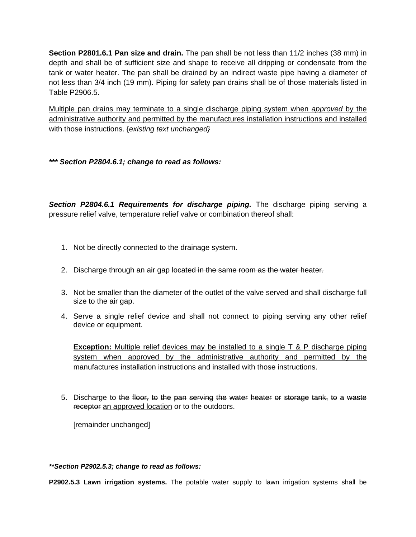**Section P2801.6.1 Pan size and drain.** The pan shall be not less than 11/2 inches (38 mm) in depth and shall be of sufficient size and shape to receive all dripping or condensate from the tank or water heater. The pan shall be drained by an indirect waste pipe having a diameter of not less than 3/4 inch (19 mm). Piping for safety pan drains shall be of those materials listed in Table P2906.5.

Multiple pan drains may terminate to a single discharge piping system when *approved* by the administrative authority and permitted by the manufactures installation instructions and installed with those instructions. {*existing text unchanged}*

*\*\*\* Section P2804.6.1; change to read as follows:*

*Section P2804.6.1 Requirements for discharge piping.* The discharge piping serving a pressure relief valve, temperature relief valve or combination thereof shall:

- 1. Not be directly connected to the drainage system.
- 2. Discharge through an air gap located in the same room as the water heater.
- 3. Not be smaller than the diameter of the outlet of the valve served and shall discharge full size to the air gap.
- 4. Serve a single relief device and shall not connect to piping serving any other relief device or equipment.

**Exception:** Multiple relief devices may be installed to a single T & P discharge piping system when approved by the administrative authority and permitted by the manufactures installation instructions and installed with those instructions.

5. Discharge to the floor, to the pan serving the water heater or storage tank, to a waste receptor an approved location or to the outdoors.

[remainder unchanged]

# *\*\*Section P2902.5.3; change to read as follows:*

**P2902.5.3 Lawn irrigation systems.** The potable water supply to lawn irrigation systems shall be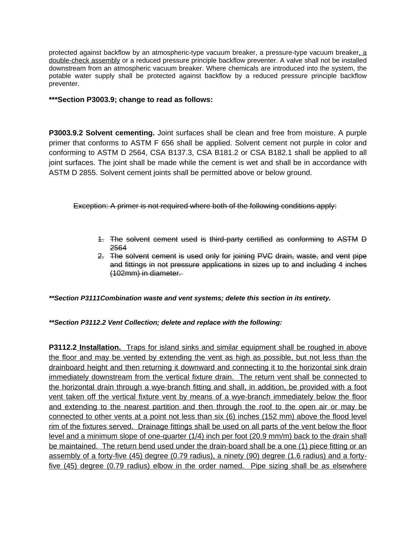protected against backflow by an atmospheric-type vacuum breaker, a pressure-type vacuum breaker, a double-check assembly or a reduced pressure principle backflow preventer. A valve shall not be installed downstream from an atmospheric vacuum breaker. Where chemicals are introduced into the system, the potable water supply shall be protected against backflow by a reduced pressure principle backflow preventer.

### **\*\*\*Section P3003.9; change to read as follows:**

**P3003.9.2 Solvent cementing.** Joint surfaces shall be clean and free from moisture. A purple primer that conforms to ASTM F 656 shall be applied. Solvent cement not purple in color and conforming to ASTM D 2564, CSA B137.3, CSA B181.2 or CSA B182.1 shall be applied to all joint surfaces. The joint shall be made while the cement is wet and shall be in accordance with ASTM D 2855. Solvent cement joints shall be permitted above or below ground.

Exception: A primer is not required where both of the following conditions apply:

- 1. The solvent cement used is third-party certified as conforming to ASTM D 2564
- 2. The solvent cement is used only for joining PVC drain, waste, and vent pipe and fittings in not pressure applications in sizes up to and including 4 inches (102mm) in diameter.

*\*\*Section P3111Combination waste and vent systems; delete this section in its entirety.*

*\*\*Section P3112.2 Vent Collection; delete and replace with the following:*

**P3112.2 Installation.** Traps for island sinks and similar equipment shall be roughed in above the floor and may be vented by extending the vent as high as possible, but not less than the drainboard height and then returning it downward and connecting it to the horizontal sink drain immediately downstream from the vertical fixture drain. The return vent shall be connected to the horizontal drain through a wye-branch fitting and shall, in addition, be provided with a foot vent taken off the vertical fixture vent by means of a wye-branch immediately below the floor and extending to the nearest partition and then through the roof to the open air or may be connected to other vents at a point not less than six (6) inches (152 mm) above the flood level rim of the fixtures served. Drainage fittings shall be used on all parts of the vent below the floor level and a minimum slope of one-quarter (1/4) inch per foot (20.9 mm/m) back to the drain shall be maintained. The return bend used under the drain-board shall be a one (1) piece fitting or an assembly of a forty-five (45) degree (0.79 radius), a ninety (90) degree (1.6 radius) and a fortyfive (45) degree (0.79 radius) elbow in the order named. Pipe sizing shall be as elsewhere